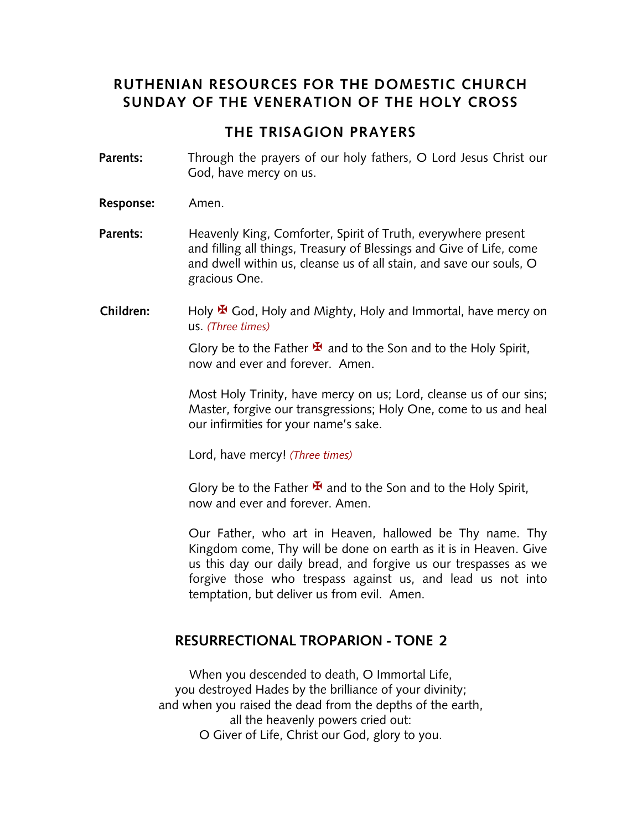## **RUTHENIAN RESOURCES FOR THE DOMESTIC CHURCH SUNDAY OF THE VENERATION OF THE HOLY CROSS**

#### **THE TRISAGION PRAYERS**

- **Parents:** Through the prayers of our holy fathers, O Lord Jesus Christ our God, have mercy on us.
- **Response:** Amen.
- **Parents:** Heavenly King, Comforter, Spirit of Truth, everywhere present and filling all things, Treasury of Blessings and Give of Life, come and dwell within us, cleanse us of all stain, and save our souls, O gracious One.
- **Children:** Holy <sup>★</sup> God, Holy and Mighty, Holy and Immortal, have mercy on us. *(Three times)*

Glory be to the Father  $\mathbf{\mathbf{\mathbf{\mathsf{F}}} }$  and to the Son and to the Holy Spirit, now and ever and forever. Amen.

Most Holy Trinity, have mercy on us; Lord, cleanse us of our sins; Master, forgive our transgressions; Holy One, come to us and heal our infirmities for your name's sake.

Lord, have mercy! *(Three times)*

Glory be to the Father  $\mathbf{\Sigma}$  and to the Son and to the Holy Spirit, now and ever and forever. Amen.

Our Father, who art in Heaven, hallowed be Thy name. Thy Kingdom come, Thy will be done on earth as it is in Heaven. Give us this day our daily bread, and forgive us our trespasses as we forgive those who trespass against us, and lead us not into temptation, but deliver us from evil. Amen.

#### **RESURRECTIONAL TROPARION - TONE 2**

When you descended to death, O Immortal Life, you destroyed Hades by the brilliance of your divinity; and when you raised the dead from the depths of the earth, all the heavenly powers cried out: O Giver of Life, Christ our God, glory to you.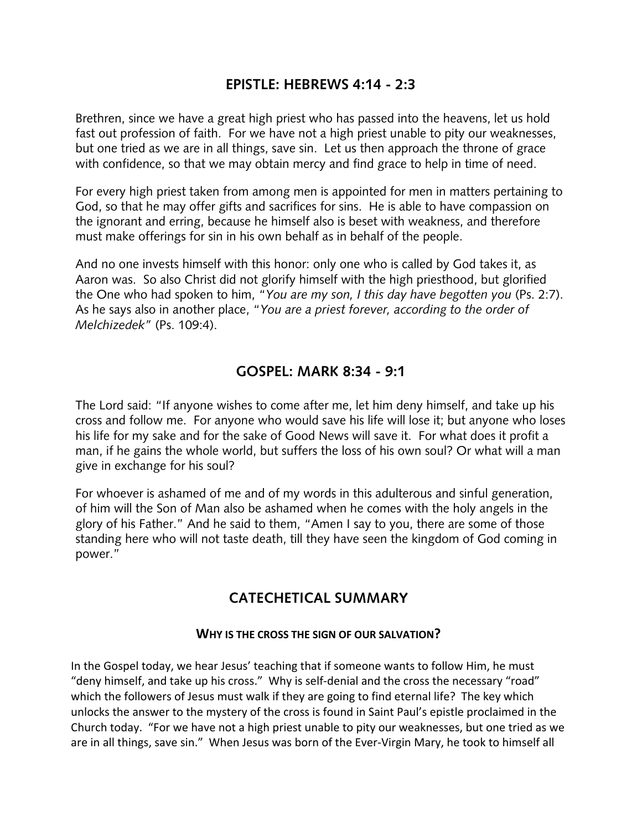### **EPISTLE: HEBREWS 4:14 - 2:3**

Brethren, since we have a great high priest who has passed into the heavens, let us hold fast out profession of faith. For we have not a high priest unable to pity our weaknesses, but one tried as we are in all things, save sin. Let us then approach the throne of grace with confidence, so that we may obtain mercy and find grace to help in time of need.

For every high priest taken from among men is appointed for men in matters pertaining to God, so that he may offer gifts and sacrifices for sins. He is able to have compassion on the ignorant and erring, because he himself also is beset with weakness, and therefore must make offerings for sin in his own behalf as in behalf of the people.

And no one invests himself with this honor: only one who is called by God takes it, as Aaron was. So also Christ did not glorify himself with the high priesthood, but glorified the One who had spoken to him, "*You are my son, I this day have begotten you* (Ps. 2:7). As he says also in another place, "*You are a priest forever, according to the order of Melchizedek"* (Ps. 109:4).

## **GOSPEL: MARK 8:34 - 9:1**

The Lord said: "If anyone wishes to come after me, let him deny himself, and take up his cross and follow me. For anyone who would save his life will lose it; but anyone who loses his life for my sake and for the sake of Good News will save it. For what does it profit a man, if he gains the whole world, but suffers the loss of his own soul? Or what will a man give in exchange for his soul?

For whoever is ashamed of me and of my words in this adulterous and sinful generation, of him will the Son of Man also be ashamed when he comes with the holy angels in the glory of his Father." And he said to them, "Amen I say to you, there are some of those standing here who will not taste death, till they have seen the kingdom of God coming in power."

# **CATECHETICAL SUMMARY**

#### **WHY IS THE CROSS THE SIGN OF OUR SALVATION?**

In the Gospel today, we hear Jesus' teaching that if someone wants to follow Him, he must "deny himself, and take up his cross." Why is self-denial and the cross the necessary "road" which the followers of Jesus must walk if they are going to find eternal life? The key which unlocks the answer to the mystery of the cross is found in Saint Paul's epistle proclaimed in the Church today. "For we have not a high priest unable to pity our weaknesses, but one tried as we are in all things, save sin." When Jesus was born of the Ever-Virgin Mary, he took to himself all